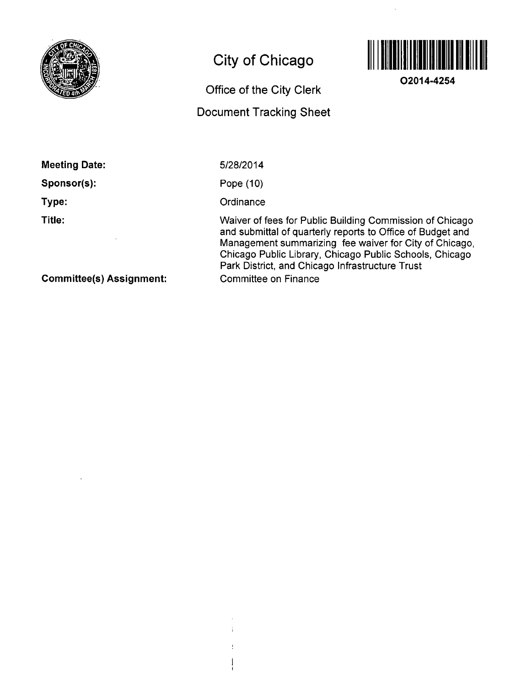

# **City of Chicago**

## **Office of the City Clerk**

### **Document Tracking Sheet**



**O2014-4254** 

| mccung Dalo, |
|--------------|
| Sponsor(s):  |
| Type:        |

**Meeting Date:** 

**Title:** 

5/28/2014

Pope (10)

**Ordinance** 

÷

 $\mathbf{I}$ -1

Waiver of fees for Public Building Commission of Chicago and submittal of quarteriy reports to Office of Budget and Management summarizing fee waiver for City of Chicago, Chicago Public Library, Chicago Public Schools, Chicago Park District, and Chicago Infrastructure Trust Committee on Finance

**Commlttee(s) Assignment:**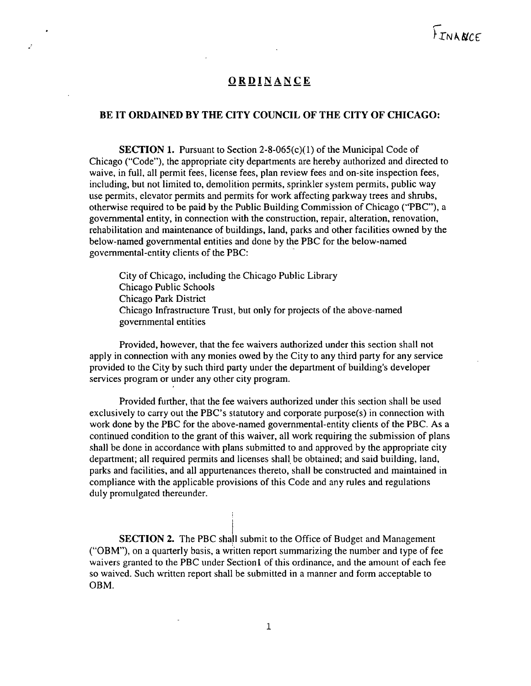### ORDINANCE

Ż

#### BE IT ORDAINED BY THE CITY COUNCIL OF THE CITY OF CHICAGO:

SECTION 1. Pursuant to Section 2-8-065(c)(1) of the Municipal Code of Chicago ("Code"), the appropriate city departments are hereby authorized and directed to waive, in full, all permit fees, license fees, plan review fees and on-site inspection fees, including, but not limited to, demolition permits, sprinkler system permits, public way use permits, elevator permits and permits for work affecting parkway trees and shrubs, otherwise required to be paid by the Public Building Commission of Chicago ("PBC"), a governmental entity, in connection with the construction, repair, alteration, renovation, rehabilitation and maintenance of buildings, land, parks and other facilities owned by the below-named governmental entities and done by the PBC for the below-named governmental-entity clients of the PBC:

City of Chicago, including the Chicago Public Library Chicago Public Schools Chicago Park District Chicago Infrastructure Trust, but only for projects of the above-named govemmental entities

Provided, however, that the fee waivers authorized under this section shall not apply in connection with any monies owed by the City to any third party for any service provided to the City by such third party under the department of building's developer services program or under any other city program.

Provided further, that the fee waivers authorized under this section shall be used exclusively to carry out the PBC's statutory and corporate purpose(s) in connection with work done by the PBC for the above-named governmental-entity clients of the PBC. As a continued condition to the grant of this waiver, all work requiring the submission of plans shall be done in accordance with plans submitted to and approved by the appropriate city department; all required permits and licenses shall be obtained; and said building, land, parks and facilities, and all appurtenances thereto, shall be constructed and maintained in compliance with the applicable provisions of this Code and any rules and regulations duly promulgated thereunder.

SECTION 2. The PBC shall submit to the Office of Budget and Management ("OBM"), on a quarterly basis, a written report summarizing the number and type of fee waivers granted to the PBC under Section 1 of this ordinance, and the amount of each fee so waived. Such written report shall be submitted in a manner and form acceptable to OBM.